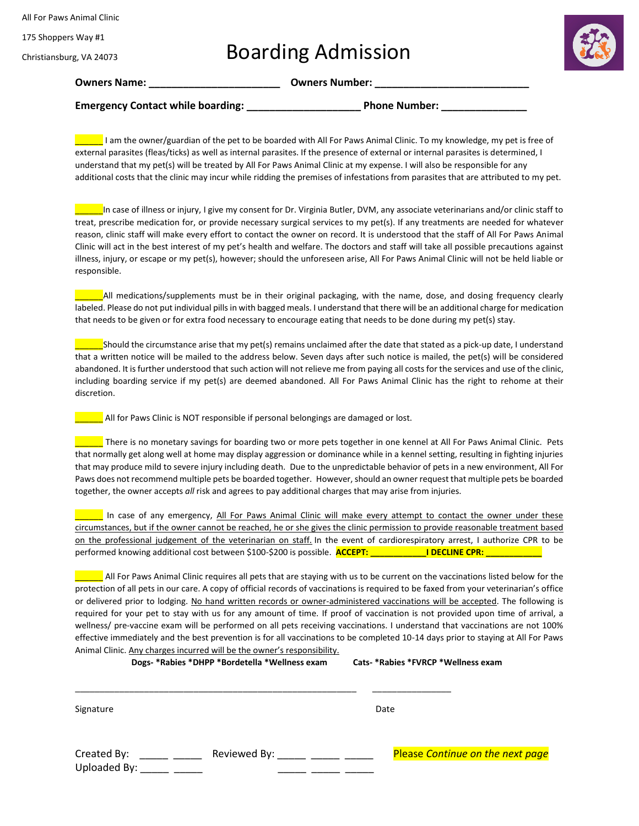All For Paws Animal Clinic

175 Shoppers Way #1

## Christiansburg, VA 24073

Boarding Admission



**Owners Name: \_\_\_\_\_\_\_\_\_\_\_\_\_\_\_\_\_\_\_\_\_\_\_ Owners Number: \_\_\_\_\_\_\_\_\_\_\_\_\_\_\_\_\_\_\_\_\_\_\_\_\_\_\_**

**Emergency Contact while boarding: \_\_\_\_\_\_\_\_\_\_\_\_\_\_\_\_\_\_\_\_ Phone Number: \_\_\_\_\_\_\_\_\_\_\_\_\_\_\_**

\_\_\_\_\_\_ I am the owner/guardian of the pet to be boarded with All For Paws Animal Clinic. To my knowledge, my pet is free of external parasites (fleas/ticks) as well as internal parasites. If the presence of external or internal parasites is determined, I understand that my pet(s) will be treated by All For Paws Animal Clinic at my expense. I will also be responsible for any additional costs that the clinic may incur while ridding the premises of infestations from parasites that are attributed to my pet.

In case of illness or injury, I give my consent for Dr. Virginia Butler, DVM, any associate veterinarians and/or clinic staff to treat, prescribe medication for, or provide necessary surgical services to my pet(s). If any treatments are needed for whatever reason, clinic staff will make every effort to contact the owner on record. It is understood that the staff of All For Paws Animal Clinic will act in the best interest of my pet's health and welfare. The doctors and staff will take all possible precautions against illness, injury, or escape or my pet(s), however; should the unforeseen arise, All For Paws Animal Clinic will not be held liable or responsible.

All medications/supplements must be in their original packaging, with the name, dose, and dosing frequency clearly labeled. Please do not put individual pills in with bagged meals. I understand that there will be an additional charge for medication that needs to be given or for extra food necessary to encourage eating that needs to be done during my pet(s) stay.

\_\_\_\_\_\_Should the circumstance arise that my pet(s) remains unclaimed after the date that stated as a pick-up date, I understand that a written notice will be mailed to the address below. Seven days after such notice is mailed, the pet(s) will be considered abandoned. It is further understood that such action will not relieve me from paying all costs for the services and use of the clinic, including boarding service if my pet(s) are deemed abandoned. All For Paws Animal Clinic has the right to rehome at their discretion.

**\_\_** All for Paws Clinic is NOT responsible if personal belongings are damaged or lost.

\_\_\_\_\_\_ There is no monetary savings for boarding two or more pets together in one kennel at All For Paws Animal Clinic. Pets that normally get along well at home may display aggression or dominance while in a kennel setting, resulting in fighting injuries that may produce mild to severe injury including death. Due to the unpredictable behavior of pets in a new environment, All For Paws does not recommend multiple pets be boarded together. However, should an owner request that multiple pets be boarded together, the owner accepts *all* risk and agrees to pay additional charges that may arise from injuries.

In case of any emergency, All For Paws Animal Clinic will make every attempt to contact the owner under these circumstances, but if the owner cannot be reached, he or she gives the clinic permission to provide reasonable treatment based on the professional judgement of the veterinarian on staff. In the event of cardiorespiratory arrest, I authorize CPR to be performed knowing additional cost between \$100-\$200 is possible. **ACCEPT: The CLINE CPR: I DECLINE CPR: ACCEPT** 

 $\blacksquare$  All For Paws Animal Clinic requires all pets that are staying with us to be current on the vaccinations listed below for the protection of all pets in our care. A copy of official records of vaccinations is required to be faxed from your veterinarian's office or delivered prior to lodging. No hand written records or owner-administered vaccinations will be accepted. The following is required for your pet to stay with us for any amount of time. If proof of vaccination is not provided upon time of arrival, a wellness/ pre-vaccine exam will be performed on all pets receiving vaccinations. I understand that vaccinations are not 100% effective immediately and the best prevention is for all vaccinations to be completed 10-14 days prior to staying at All For Paws Animal Clinic. Any charges incurred will be the owner's responsibility.

**Dogs- \*Rabies \*DHPP \*Bordetella \*Wellness exam Cats- \*Rabies \*FVRCP \*Wellness exam** 

\_\_\_\_\_\_\_\_\_\_\_\_\_\_\_\_\_\_\_\_\_\_\_\_\_\_\_\_\_\_\_\_\_\_\_\_\_\_\_\_\_\_\_\_\_\_\_\_\_\_\_\_\_\_\_\_\_ \_\_\_\_\_\_\_\_\_\_\_\_\_\_\_\_

Signature Date Date of the Date of the Date of the Date of the Date of the Date of the Date of the Date of the Date of the Date of the Date of the Date of the Date of the Date of the Date of the Date of the Date of the Dat

| Created By:  | Reviewed By: | <b>Please Continue on the next page</b> |
|--------------|--------------|-----------------------------------------|
| Uploaded By: |              |                                         |